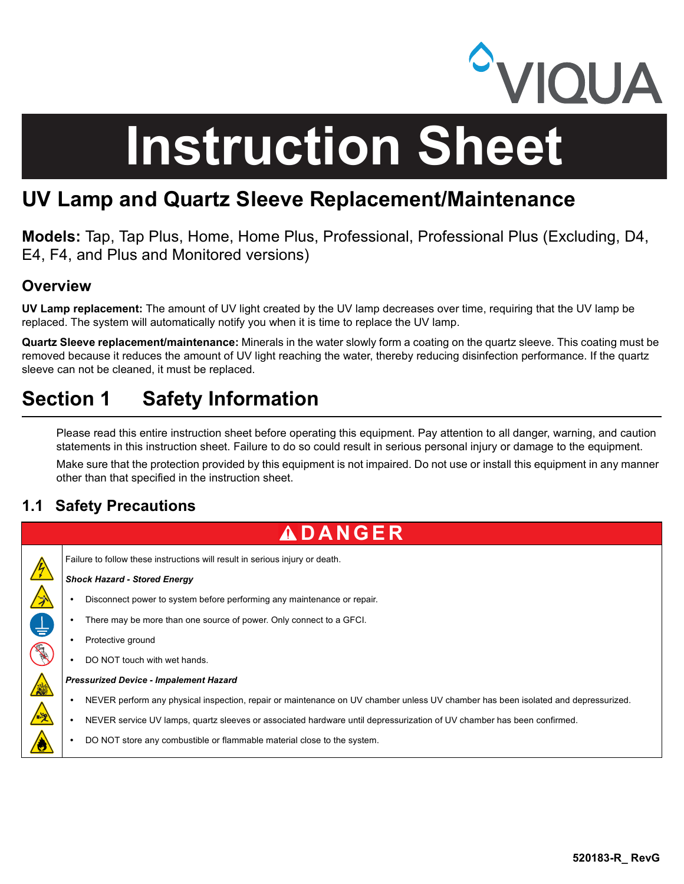

# **Instruction Sheet**

# UV Lamp and Quartz Sleeve Replacement/Maintenance

Models: Tap, Tap Plus, Home, Home Plus, Professional, Professional Plus (Excluding, D4, E4, F4, and Plus and Monitored versions)

## **Overview**

UV Lamp replacement: The amount of UV light created by the UV lamp decreases over time, requiring that the UV lamp be replaced. The system will automatically notify you when it is time to replace the UV lamp.

Quartz Sleeve replacement/maintenance: Minerals in the water slowly form a coating on the quartz sleeve. This coating must be removed because it reduces the amount of UV light reaching the water, thereby reducing disinfection performance. If the quartz sleeve can not be cleaned, it must be replaced.

# Section 1 Safety Information

Please read this entire instruction sheet before operating this equipment. Pay attention to all danger, warning, and caution statements in this instruction sheet. Failure to do so could result in serious personal injury or damage to the equipment.

Make sure that the protection provided by this equipment is not impaired. Do not use or install this equipment in any manner other than that specified in the instruction sheet.

## 1.1 Safety Precautions

# **A D A N G E R**

Failure to follow these instructions will result in serious injury or death.

#### Shock Hazard - Stored Energy

- Disconnect power to system before performing any maintenance or repair.
- There may be more than one source of power. Only connect to a GFCI.
- Protective ground

**人名巴图金全台** 

DO NOT touch with wet hands.

#### Pressurized Device - Impalement Hazard

- NEVER perform any physical inspection, repair or maintenance on UV chamber unless UV chamber has been isolated and depressurized.
- NEVER service UV lamps, quartz sleeves or associated hardware until depressurization of UV chamber has been confirmed.
- DO NOT store any combustible or flammable material close to the system.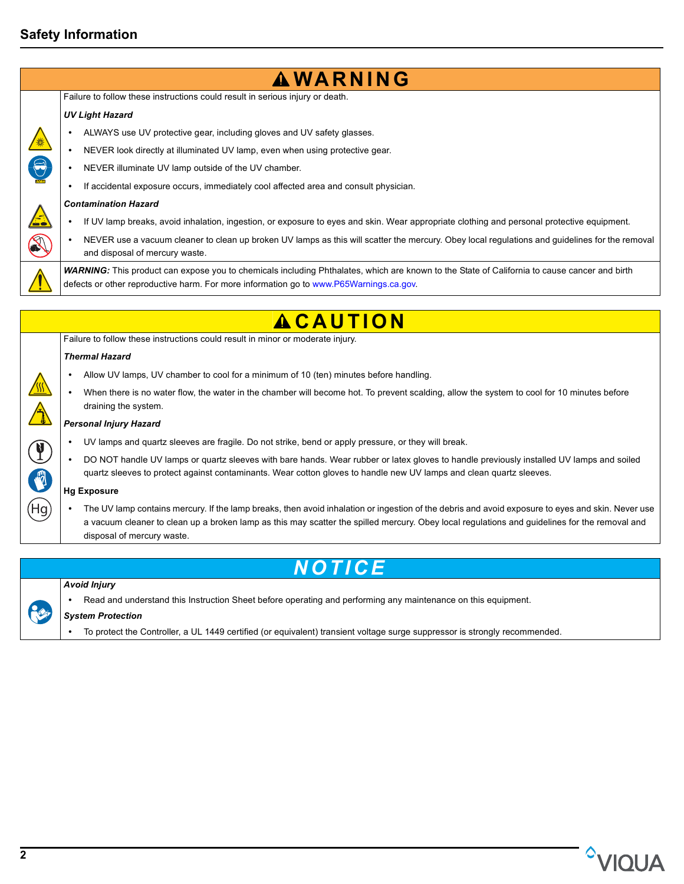## Safety Information

| <b>AWARNING</b>                                                                                                                                                                                                                                                                                                                  |
|----------------------------------------------------------------------------------------------------------------------------------------------------------------------------------------------------------------------------------------------------------------------------------------------------------------------------------|
| Failure to follow these instructions could result in serious injury or death.                                                                                                                                                                                                                                                    |
| <b>UV Light Hazard</b>                                                                                                                                                                                                                                                                                                           |
| ALWAYS use UV protective gear, including gloves and UV safety glasses.                                                                                                                                                                                                                                                           |
| NEVER look directly at illuminated UV lamp, even when using protective gear.                                                                                                                                                                                                                                                     |
| NEVER illuminate UV lamp outside of the UV chamber.                                                                                                                                                                                                                                                                              |
| If accidental exposure occurs, immediately cool affected area and consult physician.                                                                                                                                                                                                                                             |
| <b>Contamination Hazard</b>                                                                                                                                                                                                                                                                                                      |
| If UV lamp breaks, avoid inhalation, ingestion, or exposure to eyes and skin. Wear appropriate clothing and personal protective equipment.                                                                                                                                                                                       |
| NEVER use a vacuum cleaner to clean up broken UV lamps as this will scatter the mercury. Obey local regulations and guidelines for the removal<br>and disposal of mercury waste.                                                                                                                                                 |
| WARNING: This product can expose you to chemicals including Phthalates, which are known to the State of California to cause cancer and birth<br>defects or other reproductive harm. For more information go to www.P65Warnings.ca.gov.                                                                                           |
| <b>ACAUTION</b>                                                                                                                                                                                                                                                                                                                  |
| Failure to follow these instructions could result in minor or moderate injury.                                                                                                                                                                                                                                                   |
| <b>Thermal Hazard</b>                                                                                                                                                                                                                                                                                                            |
| Allow UV lamps, UV chamber to cool for a minimum of 10 (ten) minutes before handling.                                                                                                                                                                                                                                            |
| When there is no water flow, the water in the chamber will become hot. To prevent scalding, allow the system to cool for 10 minutes before<br>draining the system.                                                                                                                                                               |
| <b>Personal Injury Hazard</b>                                                                                                                                                                                                                                                                                                    |
| UV lamps and quartz sleeves are fragile. Do not strike, bend or apply pressure, or they will break.                                                                                                                                                                                                                              |
| DO NOT handle UV lamps or quartz sleeves with bare hands. Wear rubber or latex gloves to handle previously installed UV lamps and soiled<br>quartz sleeves to protect against contaminants. Wear cotton gloves to handle new UV lamps and clean quartz sleeves.                                                                  |
| <b>Hg Exposure</b>                                                                                                                                                                                                                                                                                                               |
| The UV lamp contains mercury. If the lamp breaks, then avoid inhalation or ingestion of the debris and avoid exposure to eyes and skin. Never use<br>a vacuum cleaner to clean up a broken lamp as this may scatter the spilled mercury. Obey local regulations and guidelines for the removal and<br>disposal of mercury waste. |
| TICE                                                                                                                                                                                                                                                                                                                             |
|                                                                                                                                                                                                                                                                                                                                  |

- RE
- Read and understand this Instruction Sheet before operating and performing any maintenance on this equipment.

### System Protection

To protect the Controller, a UL 1449 certified (or equivalent) transient voltage surge suppressor is strongly recommended.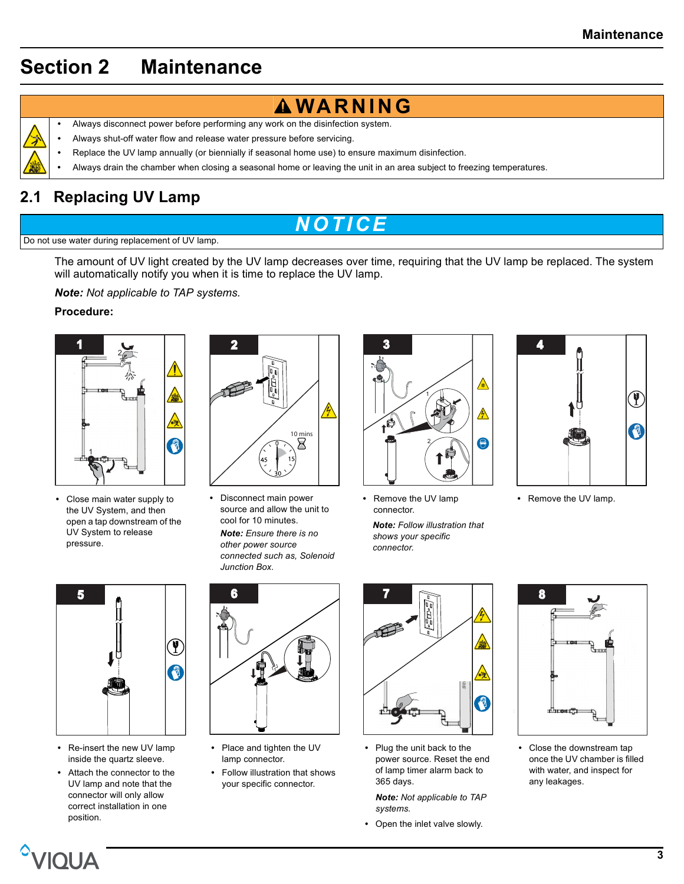# Section 2 Maintenance



- **AWARNING**
- Always disconnect power before performing any work on the disinfection system.
- Always shut-off water flow and release water pressure before servicing.
- Replace the UV lamp annually (or biennially if seasonal home use) to ensure maximum disinfection.
- Always drain the chamber when closing a seasonal home or leaving the unit in an area subject to freezing temperatures.

## 2.1 Replacing UV Lamp

# <u>N O T I C E</u>

#### Do not use water during replacement of UV lamp.

The amount of UV light created by the UV lamp decreases over time, requiring that the UV lamp be replaced. The system will automatically notify you when it is time to replace the UV lamp.

Note: Not applicable to TAP systems.

#### Procedure:



 Close main water supply to the UV System, and then open a tap downstream of the UV System to release pressure.



 Disconnect main power source and allow the unit to cool for 10 minutes.

Note: Ensure there is no other power source connected such as, Solenoid Junction Box.



- Remove the UV lamp connector.
- Note: Follow illustration that shows your specific connector.



• Remove the UV lamp.



- Re-insert the new UV lamp inside the quartz sleeve.
- Attach the connector to the UV lamp and note that the connector will only allow correct installation in one position.



- Place and tighten the UV lamp connector.
- Follow illustration that shows your specific connector.



• Plug the unit back to the power source. Reset the end of lamp timer alarm back to 365 days.

Note: Not applicable to TAP systems.

Open the inlet valve slowly.



 Close the downstream tap once the UV chamber is filled with water, and inspect for any leakages.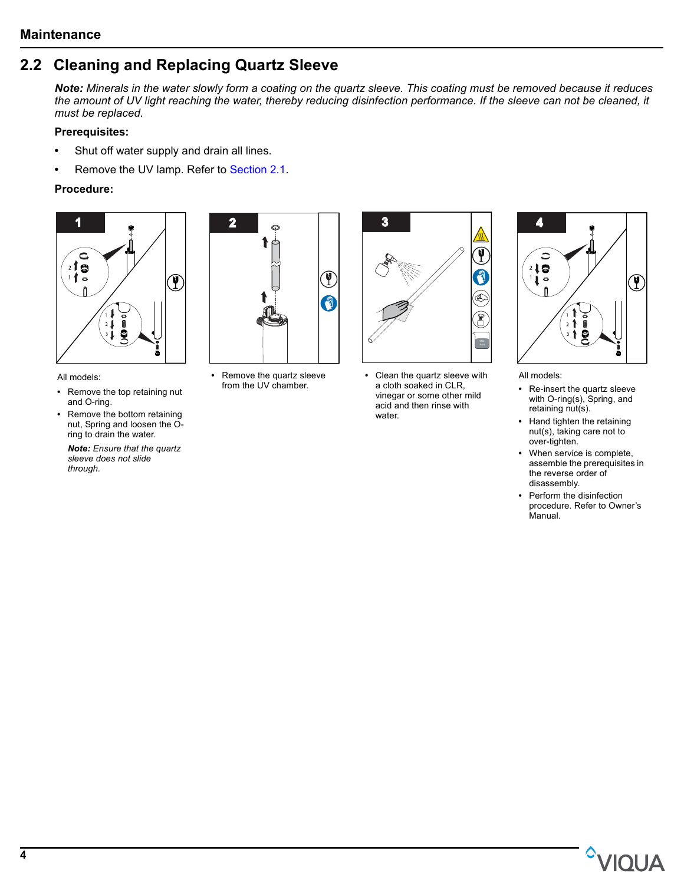## 2.2 Cleaning and Replacing Quartz Sleeve

Note: Minerals in the water slowly form a coating on the quartz sleeve. This coating must be removed because it reduces the amount of UV light reaching the water, thereby reducing disinfection performance. If the sleeve can not be cleaned, it must be replaced.

#### Prerequisites:

- Shut off water supply and drain all lines.
- Remove the UV lamp. Refer to Section 2.1.

#### Procedure:



All models:

- Remove the top retaining nut and O-ring.
- Remove the bottom retaining nut, Spring and loosen the Oring to drain the water.

Note: Ensure that the quartz sleeve does not slide through.



• Remove the quartz sleeve from the UV chamber.



 Clean the quartz sleeve with a cloth soaked in CLR, vinegar or some other mild acid and then rinse with water.



All models:

- Re-insert the quartz sleeve with O-ring(s), Spring, and retaining nut(s).
- Hand tighten the retaining nut(s), taking care not to over-tighten.
- When service is complete, assemble the prerequisites in the reverse order of disassembly.
- Perform the disinfection procedure. Refer to Owner's Manual.